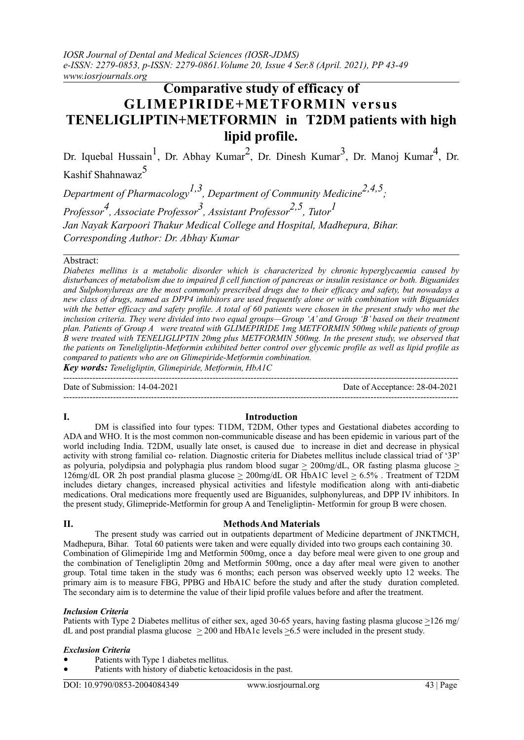*IOSR Journal of Dental and Medical Sciences (IOSR-JDMS) e-ISSN: 2279-0853, p-ISSN: 2279-0861.Volume 20, Issue 4 Ser.8 (April. 2021), PP 43-49 www.iosrjournals.org*

# **Comparative study of efficacy of GLIMEPIRIDE+METFORMIN versus TENELIGLIPTIN+METFORMIN in T2DM patients with high lipid profile.**

Dr. Iquebal Hussain<sup>1</sup>, Dr. Abhay Kumar<sup>2</sup>, Dr. Dinesh Kumar<sup>3</sup>, Dr. Manoj Kumar<sup>4</sup>, Dr. Kashif Shahnawaz<sup>5</sup>

*Department of Pharmacology1,3, Department of Community Medicine2,4,5; Professor4, Associate Professor3, Assistant Professor2,5, Tutor1 Jan Nayak Karpoori Thakur Medical College and Hospital, Madhepura, Bihar. Corresponding Author: Dr. Abhay Kumar*

#### Abstract:

*Diabetes mellitus is a metabolic disorder which is characterized by chronic hyperglycaemia caused by disturbances of metabolism due to impaired β cell function of pancreas or insulin resistance or both. Biguanides and Sulphonylureas are the most commonly prescribed drugs due to their efficacy and safety, but nowadays a new class of drugs, named as DPP4 inhibitors are used frequently alone or with combination with Biguanides*  with the better efficacy and safety profile. A total of 60 patients were chosen in the present study who met the *inclusion criteria. They were divided into two equal groups—Group 'A' and Group 'B' based on their treatment plan. Patients of Group A were treated with GLIMEPIRIDE 1mg METFORMIN 500mg while patients of group B were treated with TENELIGLIPTIN 20mg plus METFORMIN 500mg. In the present study, we observed that the patients on Teneligliptin-Metformin exhibited better control over glycemic profile as well as lipid profile as compared to patients who are on Glimepiride-Metformin combination.*

---------------------------------------------------------------------------------------------------------------------------------------

---------------------------------------------------------------------------------------------------------------------------------------

*Key words: Teneligliptin, Glimepiride, Metformin, HbA1C*

Date of Submission: 14-04-2021 Date of Acceptance: 28-04-2021

## **I. Introduction**

DM is classified into four types: T1DM, T2DM, Other types and Gestational diabetes according to ADA and WHO. It is the most common non-communicable disease and has been epidemic in various part of the world including India. T2DM, usually late onset, is caused due to increase in diet and decrease in physical activity with strong familial co- relation. Diagnostic criteria for Diabetes mellitus include classical triad of '3P' as polyuria, polydipsia and polyphagia plus random blood sugar  $\geq 200$ mg/dL, OR fasting plasma glucose  $\geq$ 126mg/dL OR 2h post prandial plasma glucose  $\geq 200$ mg/dL OR HbA1C level  $\geq 6.5\%$ . Treatment of T2DM includes dietary changes, increased physical activities and lifestyle modification along with anti-diabetic medications. Oral medications more frequently used are Biguanides, sulphonylureas, and DPP IV inhibitors. In the present study, Glimepride-Metformin for group A and Teneligliptin- Metformin for group B were chosen.

### **II. MethodsAnd Materials**

The present study was carried out in outpatients department of Medicine department of JNKTMCH, Madhepura, Bihar. Total 60 patients were taken and were equally divided into two groups each containing 30. Combination of Glimepiride 1mg and Metformin 500mg, once a day before meal were given to one group and the combination of Teneligliptin 20mg and Metformin 500mg, once a day after meal were given to another group. Total time taken in the study was 6 months; each person was observed weekly upto 12 weeks. The primary aim is to measure FBG, PPBG and HbA1C before the study and after the study duration completed. The secondary aim is to determine the value of their lipid profile values before and after the treatment.

#### *Inclusion Criteria*

Patients with Type 2 Diabetes mellitus of either sex, aged 30-65 years, having fasting plasma glucose >126 mg/ dL and post prandial plasma glucose  $>$  200 and HbA1c levels  $>$  6.5 were included in the present study.

#### *Exclusion Criteria*

- Patients with Type 1 diabetes mellitus.
- Patients with history of diabetic ketoacidosis in the past.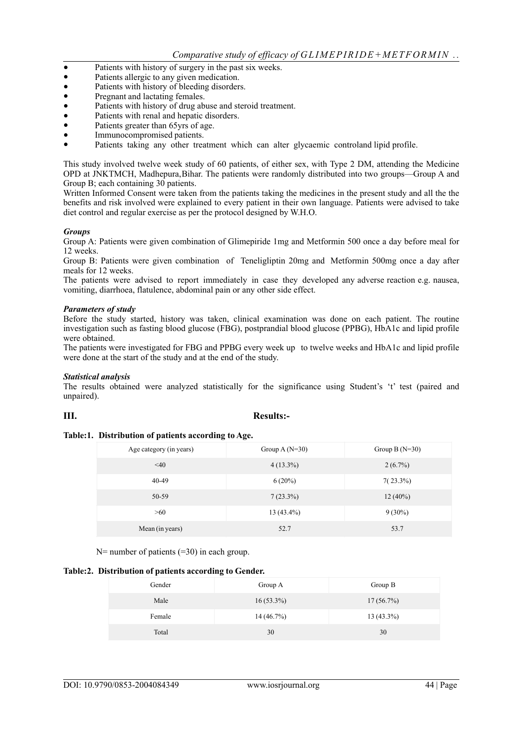- Patients with history of surgery in the past six weeks.<br>• Patients allergic to any given medication.
- Patients allergic to any given medication.<br>• Patients with history of bleeding disorder
- Patients with history of bleeding disorders.
- Pregnant and lactating females.
- Patients with history of drug abuse and steroid treatment.
- Patients with renal and hepatic disorders.
- Patients greater than 65yrs of age.
- Immunocompromised patients.
- Patients taking any other treatment which can alter glycaemic controland lipid profile.

This study involved twelve week study of 60 patients, of either sex, with Type 2 DM, attending the Medicine OPD at JNKTMCH, Madhepura,Bihar. The patients were randomly distributed into two groups—Group A and Group B; each containing 30 patients.

Written Informed Consent were taken from the patients taking the medicines in the present study and all the the benefits and risk involved were explained to every patient in their own language. Patients were advised to take diet control and regular exercise as per the protocol designed by W.H.O.

### *Groups*

Group A: Patients were given combination of Glimepiride 1mg and Metformin 500 once a day before meal for 12 weeks.

Group B: Patients were given combination of Teneligliptin 20mg and Metformin 500mg once a day after meals for 12 weeks.

The patients were advised to report immediately in case they developed any adverse reaction e.g. nausea, vomiting, diarrhoea, flatulence, abdominal pain or any other side effect.

### *Parameters of study*

Before the study started, history was taken, clinical examination was done on each patient. The routine investigation such as fasting blood glucose (FBG), postprandial blood glucose (PPBG), HbA1c and lipid profile were obtained.

The patients were investigated for FBG and PPBG every week up to twelve weeks and HbA1c and lipid profile were done at the start of the study and at the end of the study.

#### *Statistical analysis*

The results obtained were analyzed statistically for the significance using Student's 't' test (paired and unpaired).

# **III. Results:-**

#### **Table:1. Distribution of patients according to Age.**

| Age category (in years) | Group A $(N=30)$ | Group B $(N=30)$ |
|-------------------------|------------------|------------------|
| $<$ 40                  | $4(13.3\%)$      | $2(6.7\%)$       |
| 40-49                   | $6(20\%)$        | $7(23.3\%)$      |
| 50-59                   | $7(23.3\%)$      | $12(40\%)$       |
| >60                     | $13(43.4\%)$     | $9(30\%)$        |
| Mean (in years)         | 52.7             | 53.7             |

N= number of patients (=30) in each group.

#### **Table:2. Distribution of patients according to Gender.**

| Gender | Group A      | Group B      |
|--------|--------------|--------------|
| Male   | $16(53.3\%)$ | $17(56.7\%)$ |
| Female | 14(46.7%)    | $13(43.3\%)$ |
| Total  | 30           | 30           |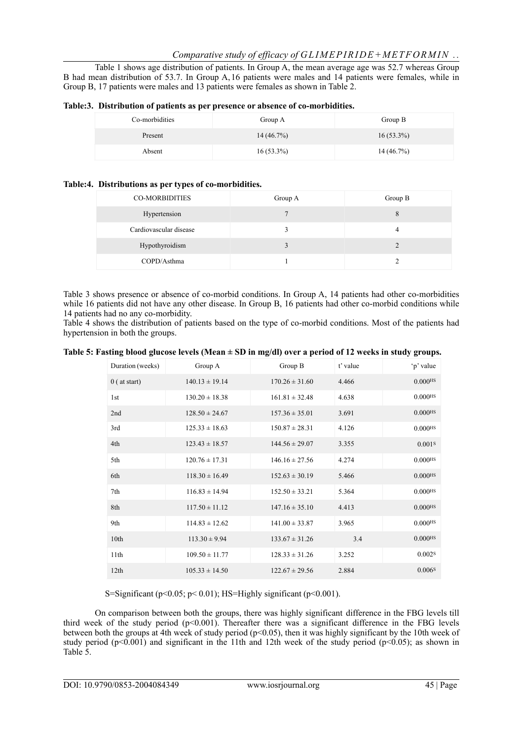Table 1 shows age distribution of patients. In Group A, the mean average age was 52.7 whereas Group B had mean distribution of 53.7. In Group A,16 patients were males and 14 patients were females, while in Group B, 17 patients were males and 13 patients were females as shown in Table 2.

|                | , Distribution of patients as per presence or absence or co-morphanics. |              |
|----------------|-------------------------------------------------------------------------|--------------|
| Co-morbidities | Group A                                                                 | Group B      |
| Present        | $14(46.7\%)$                                                            | $16(53.3\%)$ |
| Absent         | $16(53.3\%)$                                                            | $14(46.7\%)$ |

| Table:3. Distribution of patients as per presence or absence of co-morbidities. |  |  |
|---------------------------------------------------------------------------------|--|--|
|                                                                                 |  |  |

#### **Table:4. Distributions as per types of co-morbidities.**

| <b>CO-MORBIDITIES</b>  | Group A | Group B |
|------------------------|---------|---------|
| Hypertension           |         | 8       |
| Cardiovascular disease |         | 4       |
| Hypothyroidism         |         |         |
| COPD/Asthma            |         |         |

Table 3 shows presence or absence of co-morbid conditions. In Group A, 14 patients had other co-morbidities while 16 patients did not have any other disease. In Group B, 16 patients had other co-morbid conditions while 14 patients had no any co-morbidity.

Table 4 shows the distribution of patients based on the type of co-morbid conditions. Most of the patients had hypertension in both the groups.

| Duration (weeks) | Group A            | Group B            | t' value | 'p' value             |
|------------------|--------------------|--------------------|----------|-----------------------|
| $0$ ( at start)  | $140.13 \pm 19.14$ | $170.26 \pm 31.60$ | 4.466    | $0.000$ <sup>HS</sup> |
| 1st              | $130.20 \pm 18.38$ | $161.81 \pm 32.48$ | 4.638    | $0.000$ <sup>HS</sup> |
| 2nd              | $128.50 \pm 24.67$ | $157.36 \pm 35.01$ | 3.691    | $0.000$ <sup>HS</sup> |
| 3rd              | $125.33 \pm 18.63$ | $150.87 \pm 28.31$ | 4.126    | 0.000Hs               |
| 4th              | $123.43 \pm 18.57$ | $144.56 \pm 29.07$ | 3.355    | 0.001S                |
| 5th              | $120.76 \pm 17.31$ | $146.16 \pm 27.56$ | 4.274    | $0.000$ <sup>HS</sup> |
| 6th              | $118.30 \pm 16.49$ | $152.63 \pm 30.19$ | 5.466    | $0.000$ <sup>HS</sup> |
| 7th              | $116.83 \pm 14.94$ | $152.50 \pm 33.21$ | 5.364    | 0.000Hs               |
| 8th              | $117.50 \pm 11.12$ | $147.16 \pm 35.10$ | 4.413    | $0.000$ <sup>HS</sup> |
| 9th              | $114.83 \pm 12.62$ | $141.00 \pm 33.87$ | 3.965    | $0.000$ <sup>HS</sup> |
| 10th             | $113.30 \pm 9.94$  | $133.67 \pm 31.26$ | 3.4      | $0.000$ <sup>HS</sup> |
| 11th             | $109.50 \pm 11.77$ | $128.33 \pm 31.26$ | 3.252    | 0.002s                |
| 12th             | $105.33 \pm 14.50$ | $122.67 \pm 29.56$ | 2.884    | 0.006 <sup>s</sup>    |

S=Significant ( $p<0.05$ ;  $p<0.01$ ); HS=Highly significant ( $p<0.001$ ).

On comparison between both the groups, there was highly significant difference in the FBG levels till third week of the study period (p<0.001). Thereafter there was a significant difference in the FBG levels between both the groups at 4th week of study period (p<0.05), then it was highly significant by the 10th week of study period ( $p<0.001$ ) and significant in the 11th and 12th week of the study period ( $p<0.05$ ); as shown in Table 5.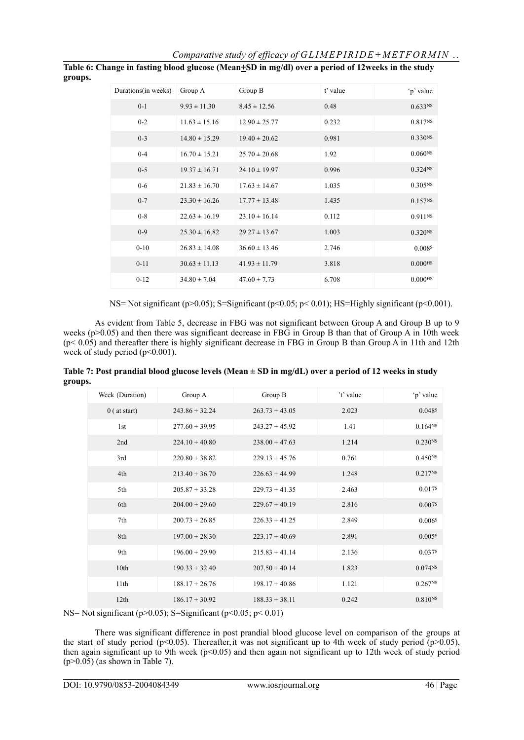| Durations(in weeks) | Group A           | Group B           | t' value | 'p' value             |
|---------------------|-------------------|-------------------|----------|-----------------------|
| $0 - 1$             | $9.93 \pm 11.30$  | $8.45 \pm 12.56$  | 0.48     | 0.633 <sup>NS</sup>   |
| $0 - 2$             | $11.63 \pm 15.16$ | $12.90 \pm 25.77$ | 0.232    | 0.817 <sup>NS</sup>   |
| $0 - 3$             | $14.80 \pm 15.29$ | $19.40 \pm 20.62$ | 0.981    | 0.330 <sub>NS</sub>   |
| $0 - 4$             | $16.70 \pm 15.21$ | $25.70 \pm 20.68$ | 1.92     | 0.060Ns               |
| $0 - 5$             | $19.37 \pm 16.71$ | $24.10 \pm 19.97$ | 0.996    | 0.324 <sub>NS</sub>   |
| $0 - 6$             | $21.83 \pm 16.70$ | $17.63 \pm 14.67$ | 1.035    | 0.305 <sup>NS</sup>   |
| $0 - 7$             | $23.30 \pm 16.26$ | $17.77 \pm 13.48$ | 1.435    | 0.157 <sub>NS</sub>   |
| $0 - 8$             | $22.63 \pm 16.19$ | $23.10 \pm 16.14$ | 0.112    | $0.911$ <sub>NS</sub> |
| $0 - 9$             | $25.30 \pm 16.82$ | $29.27 \pm 13.67$ | 1.003    | 0.320 <sub>NS</sub>   |
| $0 - 10$            | $26.83 \pm 14.08$ | $36.60 \pm 13.46$ | 2.746    | 0.0088                |
| $0 - 11$            | $30.63 \pm 11.13$ | $41.93 \pm 11.79$ | 3.818    | $0.000$ HS            |
| $0 - 12$            | $34.80 \pm 7.04$  | $47.60 \pm 7.73$  | 6.708    | $0.000$ <sup>HS</sup> |

**Table 6: Change in fasting blood glucose (Mean+SD in mg/dl) over a period of 12weeks in the study groups.**

NS= Not significant (p>0.05); S=Significant (p<0.05; p< 0.01); HS=Highly significant (p<0.001).

As evident from Table 5, decrease in FBG was not significant between Group A and Group B up to 9 weeks ( $p > 0.05$ ) and then there was significant decrease in FBG in Group B than that of Group A in 10th week (p< 0.05) and thereafter there is highly significant decrease in FBG in Group B than Group A in 11th and 12th week of study period (p<0.001).

| Table 7: Post prandial blood glucose levels (Mean $\pm$ SD in mg/dL) over a period of 12 weeks in study |  |
|---------------------------------------------------------------------------------------------------------|--|
| groups.                                                                                                 |  |

| Week (Duration) | Group A          | Group B          | 't' value | 'p' value           |
|-----------------|------------------|------------------|-----------|---------------------|
| $0$ ( at start) | $243.86 + 32.24$ | $263.73 + 43.05$ | 2.023     | 0.048 <sup>s</sup>  |
| 1 <sub>st</sub> | $277.60 + 39.95$ | $243.27 + 45.92$ | 1.41      | 0.164 <sup>NS</sup> |
| 2nd             | $224.10 + 40.80$ | $238.00 + 47.63$ | 1.214     | 0.230 <sub>NS</sub> |
| 3rd             | $220.80 + 38.82$ | $229.13 + 45.76$ | 0.761     | 0.450 <sub>NS</sub> |
| 4th             | $213.40 + 36.70$ | $226.63 + 44.99$ | 1.248     | 0.217 <sup>NS</sup> |
| 5th             | $205.87 + 33.28$ | $229.73 + 41.35$ | 2.463     | 0.017 <sup>s</sup>  |
| 6th             | $204.00 + 29.60$ | $229.67 + 40.19$ | 2.816     | 0.007s              |
| 7th             | $200.73 + 26.85$ | $226.33 + 41.25$ | 2.849     | 0.006 <sup>s</sup>  |
| 8th             | $197.00 + 28.30$ | $223.17 + 40.69$ | 2.891     | 0.005 <sup>S</sup>  |
| 9th             | $196.00 + 29.90$ | $215.83 + 41.14$ | 2.136     | 0.037s              |
| 10th            | $190.33 + 32.40$ | $207.50 + 40.14$ | 1.823     | $0.074N$ S          |
| 11th            | $188.17 + 26.76$ | $198.17 + 40.86$ | 1.121     | 0.267 <sup>NS</sup> |
| 12th            | $186.17 + 30.92$ | $188.33 + 38.11$ | 0.242     | $0.810^{NS}$        |
|                 |                  |                  |           |                     |

NS= Not significant ( $p>0.05$ ); S=Significant ( $p<0.05$ ;  $p<0.01$ )

There was significant difference in post prandial blood glucose level on comparison of the groups at the start of study period (p<0.05). Thereafter, it was not significant up to 4th week of study period (p>0.05), then again significant up to 9th week (p<0.05) and then again not significant up to 12th week of study period  $(p>0.05)$  (as shown in Table 7).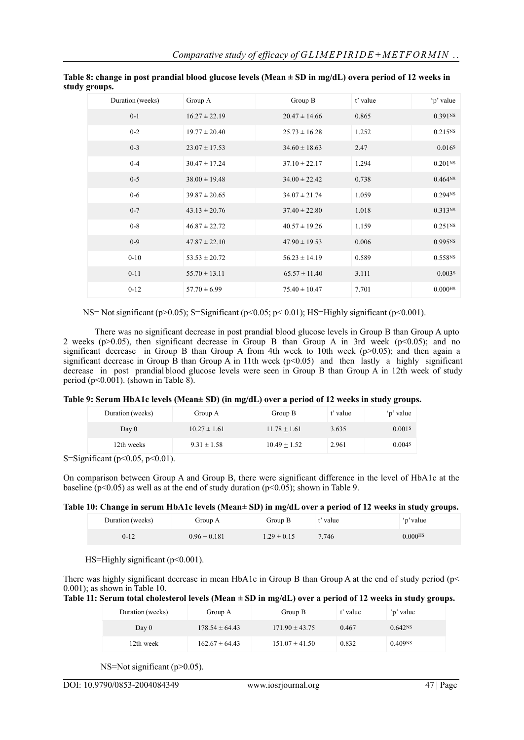| Duration (weeks) | Group A           | Group B           | t' value | 'p' value             |
|------------------|-------------------|-------------------|----------|-----------------------|
| $0 - 1$          | $16.27 \pm 22.19$ | $20.47 \pm 14.66$ | 0.865    | 0.391 <sub>NS</sub>   |
| $0 - 2$          | $19.77 \pm 20.40$ | $25.73 \pm 16.28$ | 1.252    | 0.215 <sup>NS</sup>   |
| $0 - 3$          | $23.07 \pm 17.53$ | $34.60 \pm 18.63$ | 2.47     | 0.016 <sup>s</sup>    |
| $0 - 4$          | $30.47 \pm 17.24$ | $37.10 \pm 22.17$ | 1.294    | 0.201 <sub>NS</sub>   |
| $0-5$            | $38.00 \pm 19.48$ | $34.00 \pm 22.42$ | 0.738    | 0.464N <sub>S</sub>   |
| $0-6$            | $39.87 \pm 20.65$ | $34.07 \pm 21.74$ | 1.059    | 0.294 <sub>NS</sub>   |
| $0 - 7$          | $43.13 \pm 20.76$ | $37.40 \pm 22.80$ | 1.018    | 0.313 <sup>NS</sup>   |
| $0-8$            | $46.87 \pm 22.72$ | $40.57 \pm 19.26$ | 1.159    | 0.251 <sup>NS</sup>   |
| $0-9$            | $47.87 \pm 22.10$ | $47.90 \pm 19.53$ | 0.006    | 0.995NS               |
| $0 - 10$         | $53.53 \pm 20.72$ | $56.23 \pm 14.19$ | 0.589    | 0.558NS               |
| $0 - 11$         | $55.70 \pm 13.11$ | $65.57 \pm 11.40$ | 3.111    | 0.003s                |
| $0 - 12$         | $57.70 \pm 6.99$  | $75.40 \pm 10.47$ | 7.701    | $0.000$ <sup>HS</sup> |

**Table 8: change in post prandial blood glucose levels (Mean ± SD in mg/dL) overa period of 12 weeks in study groups.**

NS= Not significant (p>0.05); S=Significant (p<0.05; p< 0.01); HS=Highly significant (p<0.001).

There was no significant decrease in post prandial blood glucose levels in Group B than Group A upto 2 weeks ( $p > 0.05$ ), then significant decrease in Group B than Group A in 3rd week ( $p < 0.05$ ); and no significant decrease in Group B than Group A from 4th week to 10th week ( $p>0.05$ ); and then again a significant decrease in Group B than Group A in 11th week ( $p$ <0.05) and then lastly a highly significant decrease in post prandial blood glucose levels were seen in Group B than Group A in 12th week of study period ( $p<0.001$ ). (shown in Table 8).

|  |  |  | Table 9: Serum HbA1c levels (Mean± SD) (in mg/dL) over a period of 12 weeks in study groups. |
|--|--|--|----------------------------------------------------------------------------------------------|
|--|--|--|----------------------------------------------------------------------------------------------|

| Duration (weeks)                                        | Group A          | Group B        | t' value | 'p' value          |
|---------------------------------------------------------|------------------|----------------|----------|--------------------|
| Day 0                                                   | $10.27 \pm 1.61$ | $11.78 + 1.61$ | 3.635    | 0.001 <sup>s</sup> |
| 12th weeks                                              | $9.31 \pm 1.58$  | $10.49 + 1.52$ | 2.961    | 0.004s             |
| $\binom{3}{10}$ and $\binom{6}{10}$ and $\binom{6}{10}$ |                  |                |          |                    |

S=Significant (p<0.05, p<0.01).

On comparison between Group A and Group B, there were significant difference in the level of HbA1c at the baseline ( $p<0.05$ ) as well as at the end of study duration ( $p<0.05$ ); shown in Table 9.

# **Table 10: Change in serum HbA1c levels (Mean± SD) in mg/dL over a period of 12 weeks in study groups.**

| Duration (weeks) | Group A        | Group B       | ' value | 'p' value |
|------------------|----------------|---------------|---------|-----------|
| $0 - 12$         | $0.96 + 0.181$ | $1.29 + 0.15$ | 7.746   | 0.000HS   |

HS=Highly significant  $(p<0.001)$ .

There was highly significant decrease in mean HbA1c in Group B than Group A at the end of study period (p< 0.001); as shown in Table 10.

**Table 11: Serum total cholesterol levels (Mean ± SD in mg/dL) over a period of 12 weeks in study groups.**

| Duration (weeks) | Group A            | Group B            | t' value | 'p' value           |
|------------------|--------------------|--------------------|----------|---------------------|
| Day 0            | $178.54 \pm 64.43$ | $171.90 \pm 43.75$ | 0.467    | 0.642 <sup>NS</sup> |
| 12th week        | $162.67 \pm 64.43$ | $151.07 \pm 41.50$ | 0.832    | 0.409 <sub>NS</sub> |

NS=Not significant (p>0.05).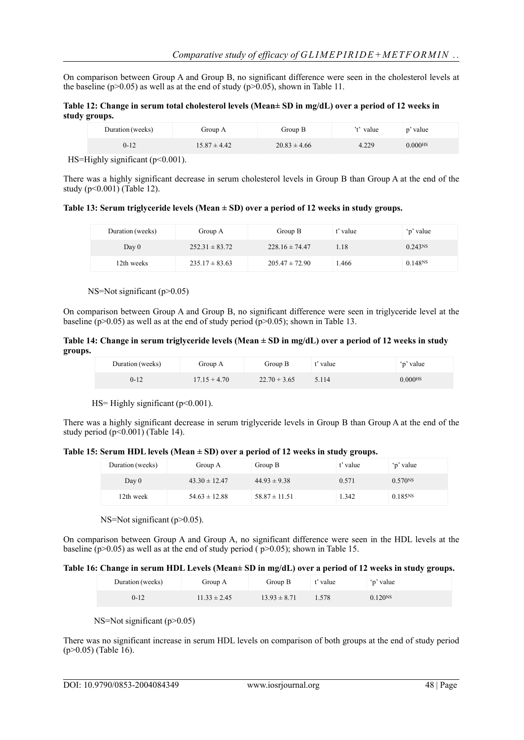On comparison between Group A and Group B, no significant difference were seen in the cholesterol levels at the baseline (p>0.05) as well as at the end of study (p>0.05), shown in Table 11.

#### **Table 12: Change in serum total cholesterol levels (Mean± SD in mg/dL) over a period of 12 weeks in study groups.**

| Duration (weeks) | Group A          | Group B          | 't' value | p' value              |  |
|------------------|------------------|------------------|-----------|-----------------------|--|
| $0 - 12$         | $15.87 \pm 4.42$ | $20.83 \pm 4.66$ | 4.229     | $0.000$ <sup>HS</sup> |  |

HS=Highly significant  $(p<0.001)$ .

There was a highly significant decrease in serum cholesterol levels in Group B than Group A at the end of the study  $(p<0.001)$  (Table 12).

**Table 13: Serum triglyceride levels (Mean ± SD) over a period of 12 weeks in study groups.**

| Duration (weeks) | Group A            | Group B            | t' value | 'p' value           |
|------------------|--------------------|--------------------|----------|---------------------|
| Day 0            | $252.31 \pm 83.72$ | $228.16 \pm 74.47$ | 1.18     | 0.243 <sup>NS</sup> |
| 12th weeks       | $235.17 \pm 83.63$ | $205.47 \pm 72.90$ | .466     | 0.148N <sub>S</sub> |

NS=Not significant (p>0.05)

On comparison between Group A and Group B, no significant difference were seen in triglyceride level at the baseline ( $p>0.05$ ) as well as at the end of study period ( $p>0.05$ ); shown in Table 13.

**Table 14: Change in serum triglyceride levels (Mean ± SD in mg/dL) over a period of 12 weeks in study groups.**

| Duration (weeks) | Group A        | Group B        | *' value | 'p' value             |
|------------------|----------------|----------------|----------|-----------------------|
| $0 - 12$         | $17.15 + 4.70$ | $22.70 + 3.65$ | 5.114    | $0.000$ <sub>HS</sub> |

HS= Highly significant  $(p<0.001)$ .

There was a highly significant decrease in serum triglyceride levels in Group B than Group A at the end of the study period  $(p<0.001)$  (Table 14).

**Table 15: Serum HDL levels (Mean ± SD) over a period of 12 weeks in study groups.**

| Duration (weeks) | Group A           | Group B           | t' value | 'p' value           |
|------------------|-------------------|-------------------|----------|---------------------|
| Day 0            | $43.30 \pm 12.47$ | $44.93 \pm 9.38$  | 0.571    | $0.570N$ S          |
| 12th week        | $54.63 \pm 12.88$ | $58.87 \pm 11.51$ | 1.342    | 0.185 <sup>NS</sup> |

NS=Not significant (p>0.05).

On comparison between Group A and Group A, no significant difference were seen in the HDL levels at the baseline ( $p > 0.05$ ) as well as at the end of study period ( $p > 0.05$ ); shown in Table 15.

# **Table 16: Change in serum HDL Levels (Mean± SD in mg/dL) over a period of 12 weeks in study groups.**

| Duration (weeks) | Group A          | Group B          | t' value | 'p' value           |
|------------------|------------------|------------------|----------|---------------------|
| $0 - 12$         | $11.33 \pm 2.45$ | $13.93 \pm 8.71$ | 1.578    | 0.120 <sup>NS</sup> |

NS=Not significant (p>0.05)

There was no significant increase in serum HDL levels on comparison of both groups at the end of study period (p>0.05) (Table 16).